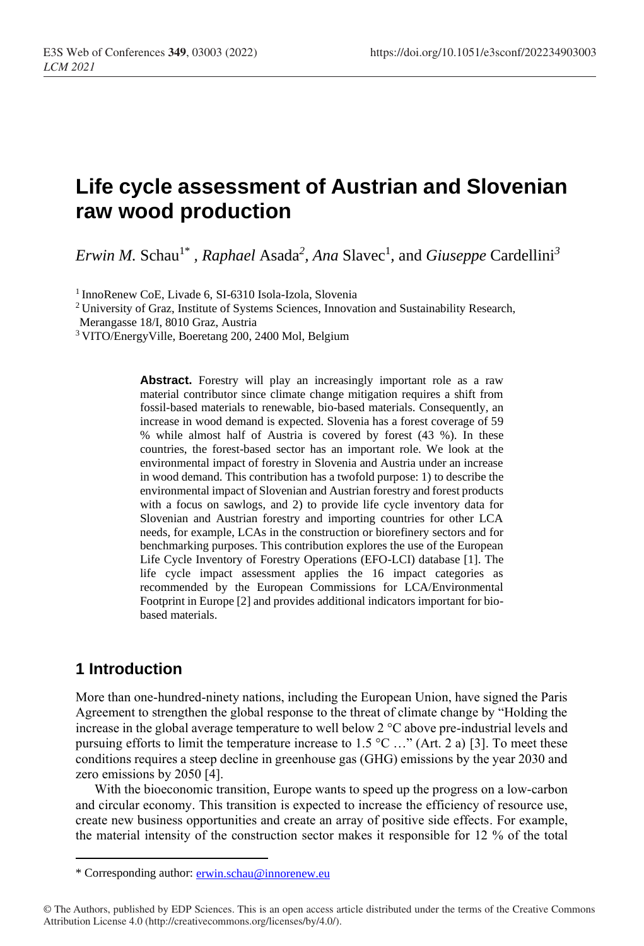# **Life cycle assessment of Austrian and Slovenian raw wood production**

*Erwin M.* Schau<sup>1\*</sup>, *Raphael* Asada<sup>2</sup>, *Ana* Slavec<sup>1</sup>, and *Giuseppe* Cardellini<sup>3</sup>

1 InnoRenew CoE, Livade 6, SI-6310 Isola-Izola, Slovenia

<sup>2</sup>University of Graz, Institute of Systems Sciences, Innovation and Sustainability Research,

Merangasse 18/I, 8010 Graz, Austria

<sup>3</sup>VITO/EnergyVille, Boeretang 200, 2400 Mol, Belgium

Abstract. Forestry will play an increasingly important role as a raw material contributor since climate change mitigation requires a shift from fossil-based materials to renewable, bio-based materials. Consequently, an increase in wood demand is expected. Slovenia has a forest coverage of 59 % while almost half of Austria is covered by forest (43 %). In these countries, the forest-based sector has an important role. We look at the environmental impact of forestry in Slovenia and Austria under an increase in wood demand. This contribution has a twofold purpose: 1) to describe the environmental impact of Slovenian and Austrian forestry and forest products with a focus on sawlogs, and 2) to provide life cycle inventory data for Slovenian and Austrian forestry and importing countries for other LCA needs, for example, LCAs in the construction or biorefinery sectors and for benchmarking purposes. This contribution explores the use of the European Life Cycle Inventory of Forestry Operations (EFO-LCI) database [1]. The life cycle impact assessment applies the 16 impact categories as recommended by the European Commissions for LCA/Environmental Footprint in Europe [2] and provides additional indicators important for biobased materials.

# **1 Introduction**

More than one-hundred-ninety nations, including the European Union, have signed the Paris Agreement to strengthen the global response to the threat of climate change by "Holding the increase in the global average temperature to well below 2 °C above pre-industrial levels and pursuing efforts to limit the temperature increase to 1.5 °C …" (Art. 2 a) [3]. To meet these conditions requires a steep decline in greenhouse gas (GHG) emissions by the year 2030 and zero emissions by 2050 [4].

With the bioeconomic transition, Europe wants to speed up the progress on a low-carbon and circular economy. This transition is expected to increase the efficiency of resource use, create new business opportunities and create an array of positive side effects. For example, the material intensity of the construction sector makes it responsible for 12 % of the total

<sup>\*</sup> Corresponding author: [erwin.schau@innorenew.eu](mailto:erwin.schau@innorenew.eu)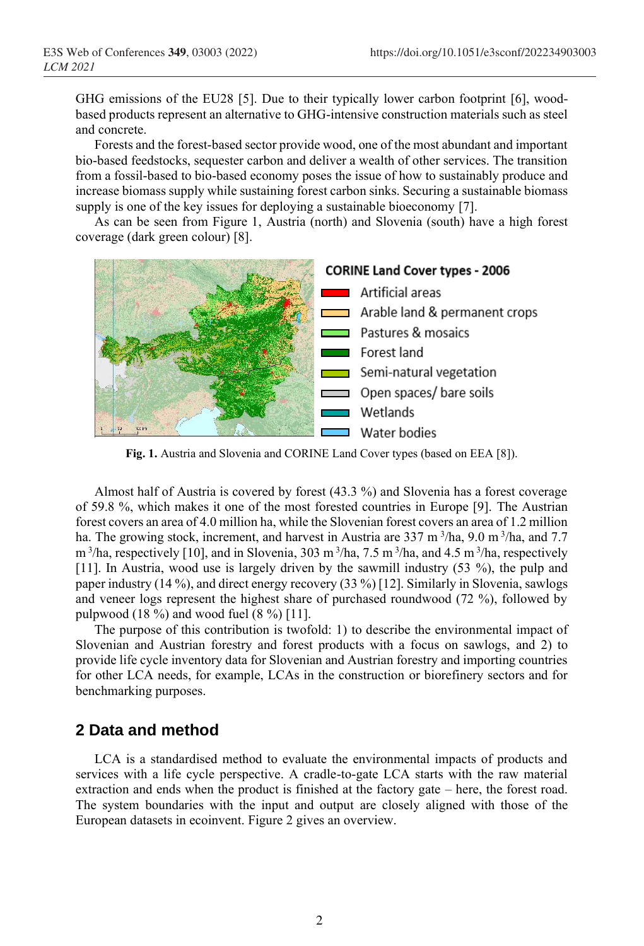GHG emissions of the EU28 [5]. Due to their typically lower carbon footprint [6], woodbased products represent an alternative to GHG-intensive construction materials such as steel and concrete.

Forests and the forest-based sector provide wood, one of the most abundant and important bio-based feedstocks, sequester carbon and deliver a wealth of other services. The transition from a fossil-based to bio-based economy poses the issue of how to sustainably produce and increase biomass supply while sustaining forest carbon sinks. Securing a sustainable biomass supply is one of the key issues for deploying a sustainable bioeconomy [7].

As can be seen from Figure 1, Austria (north) and Slovenia (south) have a high forest coverage (dark green colour) [8].



**Fig. 1.** Austria and Slovenia and CORINE Land Cover types (based on EEA [8]).

Almost half of Austria is covered by forest (43.3 %) and Slovenia has a forest coverage of 59.8 %, which makes it one of the most forested countries in Europe [9]. The Austrian forest covers an area of 4.0 million ha, while the Slovenian forest covers an area of 1.2 million ha. The growing stock, increment, and harvest in Austria are 337 m<sup>3</sup>/ha, 9.0 m<sup>3</sup>/ha, and 7.7  $m<sup>3</sup>/ha$ , respectively [10], and in Slovenia, 303 m<sup>3</sup>/ha, 7.5 m<sup>3</sup>/ha, and 4.5 m<sup>3</sup>/ha, respectively [11]. In Austria, wood use is largely driven by the sawmill industry (53 %), the pulp and paper industry (14 %), and direct energy recovery (33 %) [12]. Similarly in Slovenia, sawlogs and veneer logs represent the highest share of purchased roundwood (72 %), followed by pulpwood  $(18\%)$  and wood fuel  $(8\%)$  [11].

The purpose of this contribution is twofold: 1) to describe the environmental impact of Slovenian and Austrian forestry and forest products with a focus on sawlogs, and 2) to provide life cycle inventory data for Slovenian and Austrian forestry and importing countries for other LCA needs, for example, LCAs in the construction or biorefinery sectors and for benchmarking purposes.

### **2 Data and method**

LCA is a standardised method to evaluate the environmental impacts of products and services with a life cycle perspective. A cradle-to-gate LCA starts with the raw material extraction and ends when the product is finished at the factory gate – here, the forest road. The system boundaries with the input and output are closely aligned with those of the European datasets in ecoinvent. Figure 2 gives an overview.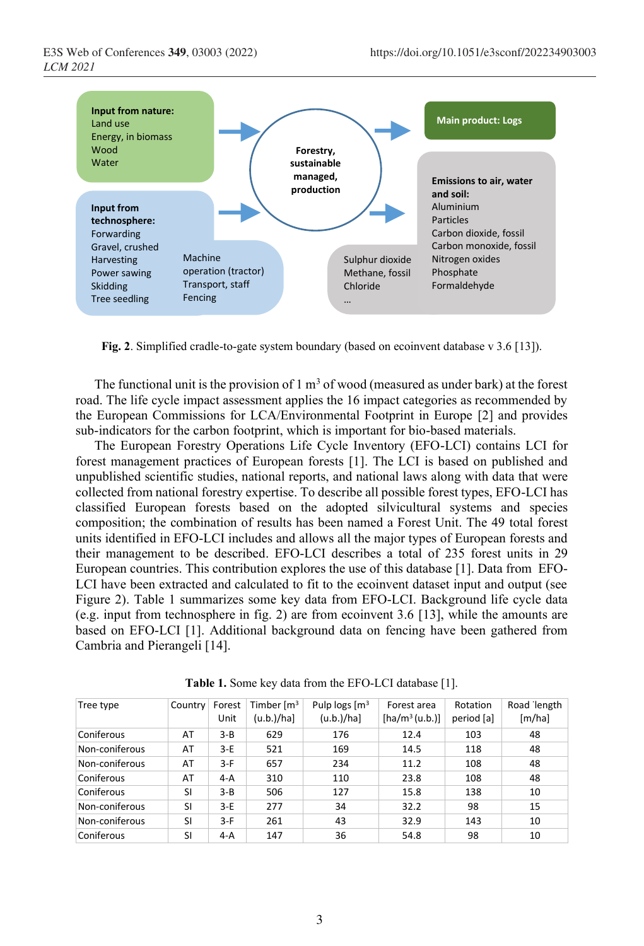

**Fig. 2**. Simplified cradle-to-gate system boundary (based on ecoinvent database v 3.6 [13]).

The functional unit is the provision of  $1 \text{ m}^3$  of wood (measured as under bark) at the forest road. The life cycle impact assessment applies the 16 impact categories as recommended by the European Commissions for LCA/Environmental Footprint in Europe [2] and provides sub-indicators for the carbon footprint, which is important for bio-based materials.

The European Forestry Operations Life Cycle Inventory (EFO-LCI) contains LCI for forest management practices of European forests [1]. The LCI is based on published and unpublished scientific studies, national reports, and national laws along with data that were collected from national forestry expertise. To describe all possible forest types, EFO-LCI has classified European forests based on the adopted silvicultural systems and species composition; the combination of results has been named a Forest Unit. The 49 total forest units identified in EFO-LCI includes and allows all the major types of European forests and their management to be described. EFO-LCI describes a total of 235 forest units in 29 European countries. This contribution explores the use of this database [1]. Data from EFO-LCI have been extracted and calculated to fit to the ecoinvent dataset input and output (see Figure 2). Table 1 summarizes some key data from EFO-LCI. Background life cycle data (e.g. input from technosphere in fig. 2) are from ecoinvent 3.6 [13], while the amounts are based on EFO-LCI [1]. Additional background data on fencing have been gathered from Cambria and Pierangeli [14].

| Tree type      | Country   | Forest<br>Unit | Timber $\mathsf{Im}^3$<br>(u.b.)/ha] | Pulp logs $\lceil m^3 \rceil$<br>(u.b.)/ha] | Forest area<br>$[ha/m^3(u.b.)]$ | Rotation<br>period [a] | Road length<br>[m/ha] |
|----------------|-----------|----------------|--------------------------------------|---------------------------------------------|---------------------------------|------------------------|-----------------------|
| Coniferous     | AT        | $3 - B$        | 629                                  | 176                                         | 12.4                            | 103                    | 48                    |
| Non-coniferous | AT        | $3-E$          | 521                                  | 169                                         | 14.5                            | 118                    | 48                    |
| Non-coniferous | AT        | 3-F            | 657                                  | 234                                         | 11.2                            | 108                    | 48                    |
| Coniferous     | AT        | $4-A$          | 310                                  | 110                                         | 23.8                            | 108                    | 48                    |
| Coniferous     | <b>SI</b> | $3 - B$        | 506                                  | 127                                         | 15.8                            | 138                    | 10                    |
| Non-coniferous | <b>SI</b> | 3-E            | 277                                  | 34                                          | 32.2                            | 98                     | 15                    |
| Non-coniferous | SI        | $3-F$          | 261                                  | 43                                          | 32.9                            | 143                    | 10                    |
| Coniferous     | <b>SI</b> | $4-A$          | 147                                  | 36                                          | 54.8                            | 98                     | 10                    |

**Table 1.** Some key data from the EFO-LCI database [1].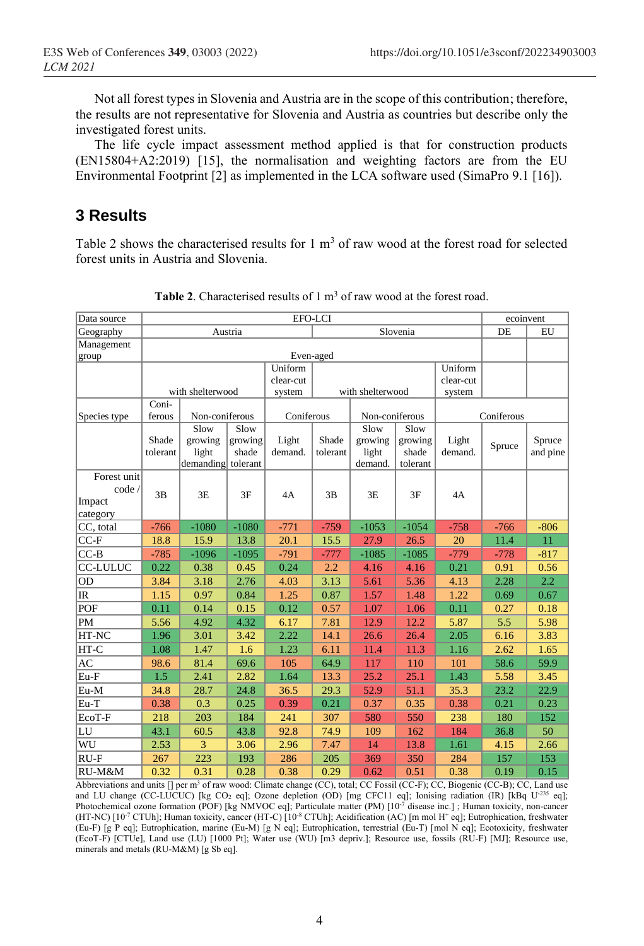Not all forest types in Slovenia and Austria are in the scope of this contribution; therefore, the results are not representative for Slovenia and Austria as countries but describe only the investigated forest units.

The life cycle impact assessment method applied is that for construction products (EN15804+A2:2019) [15], the normalisation and weighting factors are from the EU Environmental Footprint [2] as implemented in the LCA software used (SimaPro 9.1 [16]).

## **3 Results**

Table 2 shows the characterised results for  $1 \text{ m}^3$  of raw wood at the forest road for selected forest units in Austria and Slovenia.

| Data source                                 |                           | ecoinvent                     |                                      |                                                                  |                   |                             |                              |                  |        |                    |
|---------------------------------------------|---------------------------|-------------------------------|--------------------------------------|------------------------------------------------------------------|-------------------|-----------------------------|------------------------------|------------------|--------|--------------------|
| Geography                                   |                           |                               | Austria                              | Slovenia                                                         |                   |                             |                              |                  | DE     | EU                 |
| Management                                  |                           |                               |                                      |                                                                  | Even-aged         |                             |                              |                  |        |                    |
| group                                       |                           |                               |                                      |                                                                  |                   |                             |                              |                  |        |                    |
|                                             |                           |                               |                                      | Uniform<br>Uniform<br>clear-cut<br>clear-cut<br>with shelterwood |                   |                             |                              |                  |        |                    |
|                                             |                           |                               |                                      |                                                                  |                   |                             |                              |                  |        |                    |
|                                             | with shelterwood<br>Coni- |                               |                                      | system                                                           |                   |                             | system                       |                  |        |                    |
| Species type                                | Non-coniferous<br>ferous  |                               |                                      | Coniferous                                                       |                   | Non-coniferous              |                              | Coniferous       |        |                    |
|                                             |                           | Slow                          |                                      |                                                                  |                   | Slow                        | Slow                         |                  |        |                    |
|                                             | Shade<br>tolerant         | growing<br>light<br>demanding | Slow<br>growing<br>shade<br>tolerant | Light<br>demand.                                                 | Shade<br>tolerant | growing<br>light<br>demand. | growing<br>shade<br>tolerant | Light<br>demand. | Spruce | Spruce<br>and pine |
| Forest unit<br>code /<br>Impact<br>category | 3B                        | 3E                            | 3F                                   | 4A                                                               | 3B                | 3E                          | 3F                           | 4A               |        |                    |
| CC, total                                   | $-766$                    | $-1080$                       | $-1080$                              | $-771$                                                           | $-759$            | $-1053$                     | $-1054$                      | $-758$           | $-766$ | $-806$             |
| $CC-F$                                      | 18.8                      | 15.9                          | 13.8                                 | 20.1                                                             | 15.5              | 27.9                        | 26.5                         | 20               | 11.4   | 11                 |
| $CC-B$                                      | $-785$                    | $-1096$                       | $-1095$                              | $-791$                                                           | $-777$            | $-1085$                     | $-1085$                      | $-779$           | $-778$ | $-817$             |
| <b>CC-LULUC</b>                             | 0.22                      | 0.38                          | 0.45                                 | 0.24                                                             | 2.2               | 4.16                        | 4.16                         | 0.21             | 0.91   | 0.56               |
| OD                                          | 3.84                      | 3.18                          | 2.76                                 | 4.03                                                             | 3.13              | 5.61                        | 5.36                         | 4.13             | 2.28   | 2.2                |
| IR                                          | 1.15                      | 0.97                          | 0.84                                 | 1.25                                                             | 0.87              | 1.57                        | 1.48                         | 1.22             | 0.69   | 0.67               |
| POF                                         | 0.11                      | 0.14                          | 0.15                                 | 0.12                                                             | 0.57              | 1.07                        | 1.06                         | 0.11             | 0.27   | 0.18               |
| PM                                          | 5.56                      | 4.92                          | 4.32                                 | 6.17                                                             | 7.81              | 12.9                        | 12.2                         | 5.87             | 5.5    | 5.98               |
| HT-NC                                       | 1.96                      | 3.01                          | 3.42                                 | 2.22                                                             | 14.1              | 26.6                        | 26.4                         | 2.05             | 6.16   | 3.83               |
| HT-C                                        | 1.08                      | 1.47                          | 1.6                                  | 1.23                                                             | 6.11              | 11.4                        | 11.3                         | 1.16             | 2.62   | 1.65               |
| AC                                          | 98.6                      | 81.4                          | 69.6                                 | 105                                                              | 64.9              | 117                         | 110                          | 101              | 58.6   | 59.9               |
| Eu-F                                        | 1.5                       | 2.41                          | 2.82                                 | 1.64                                                             | 13.3              | 25.2                        | 25.1                         | 1.43             | 5.58   | 3.45               |
| Eu-M                                        | 34.8                      | 28.7                          | 24.8                                 | 36.5                                                             | 29.3              | 52.9                        | 51.1                         | 35.3             | 23.2   | 22.9               |
| Eu-T                                        | 0.38                      | 0.3                           | 0.25                                 | 0.39                                                             | 0.21              | 0.37                        | 0.35                         | 0.38             | 0.21   | 0.23               |
| EcoT-F                                      | 218                       | 203                           | 184                                  | 241                                                              | 307               | 580                         | 550                          | 238              | 180    | 152                |
| LU                                          | 43.1                      | 60.5                          | 43.8                                 | 92.8                                                             | 74.9              | 109                         | 162                          | 184              | 36.8   | 50                 |
| WU                                          | 2.53                      | 3                             | 3.06                                 | 2.96                                                             | 7.47              | 14                          | 13.8                         | 1.61             | 4.15   | 2.66               |
| $RU-F$                                      | 267                       | 223                           | 193                                  | 286                                                              | 205               | 369                         | 350                          | 284              | 157    | 153                |
| RU-M&M                                      | 0.32                      | 0.31                          | 0.28                                 | 0.38                                                             | 0.29              | 0.62                        | 0.51                         | 0.38             | 0.19   | 0.15               |

**Table 2.** Characterised results of 1 m<sup>3</sup> of raw wood at the forest road.

Abbreviations and units [] per m<sup>3</sup> of raw wood: Climate change (CC), total; CC Fossil (CC-F); CC, Biogenic (CC-B); CC, Land use and LU change (CC-LUCUC) [kg CO<sub>2</sub> eq]; Ozone depletion (OD) [mg CFC11 eq]; Ionising radiation (IR) [kBq U<sup>-235</sup> eq]; Photochemical ozone formation (POF) [kg NMVOC eq]; Particulate matter (PM) [10<sup>-7</sup> disease inc.]; Human toxicity, non-cancer (HT-NC)  $[10^{-7}$  CTUh]; Human toxicity, cancer (HT-C)  $[10^{-8}$  CTUh]; Acidification (AC)  $[$ m mol H<sup>+</sup> eq]; Eutrophication, freshwater (Eu-F) [g P eq]; Eutrophication, marine (Eu-M) [g N eq]; Eutrophication, terrestrial (Eu-T) [mol N eq]; Ecotoxicity, freshwater (EcoT-F) [CTUe], Land use (LU) [1000 Pt]; Water use (WU) [m3 depriv.]; Resource use, fossils (RU-F) [MJ]; Resource use, minerals and metals (RU-M&M) [g Sb eq].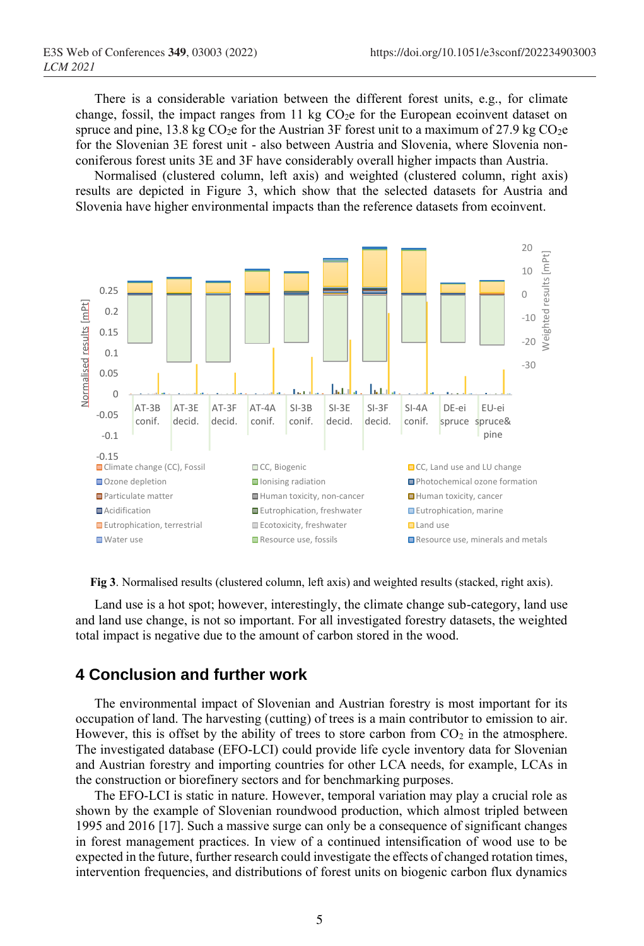There is a considerable variation between the different forest units, e.g., for climate change, fossil, the impact ranges from 11 kg  $CO<sub>2</sub>e$  for the European ecoinvent dataset on spruce and pine, 13.8 kg CO<sub>2</sub>e for the Austrian 3F forest unit to a maximum of 27.9 kg CO<sub>2</sub>e for the Slovenian 3E forest unit - also between Austria and Slovenia, where Slovenia nonconiferous forest units 3E and 3F have considerably overall higher impacts than Austria.

Normalised (clustered column, left axis) and weighted (clustered column, right axis) results are depicted in Figure 3, which show that the selected datasets for Austria and Slovenia have higher environmental impacts than the reference datasets from ecoinvent.



**Fig 3**. Normalised results (clustered column, left axis) and weighted results (stacked, right axis).

Land use is a hot spot; however, interestingly, the climate change sub-category, land use and land use change, is not so important. For all investigated forestry datasets, the weighted total impact is negative due to the amount of carbon stored in the wood.

### **4 Conclusion and further work**

The environmental impact of Slovenian and Austrian forestry is most important for its occupation of land. The harvesting (cutting) of trees is a main contributor to emission to air. However, this is offset by the ability of trees to store carbon from  $CO<sub>2</sub>$  in the atmosphere. The investigated database (EFO-LCI) could provide life cycle inventory data for Slovenian and Austrian forestry and importing countries for other LCA needs, for example, LCAs in the construction or biorefinery sectors and for benchmarking purposes.

The EFO-LCI is static in nature. However, temporal variation may play a crucial role as shown by the example of Slovenian roundwood production, which almost tripled between 1995 and 2016 [17]. Such a massive surge can only be a consequence of significant changes in forest management practices. In view of a continued intensification of wood use to be expected in the future, further research could investigate the effects of changed rotation times, intervention frequencies, and distributions of forest units on biogenic carbon flux dynamics